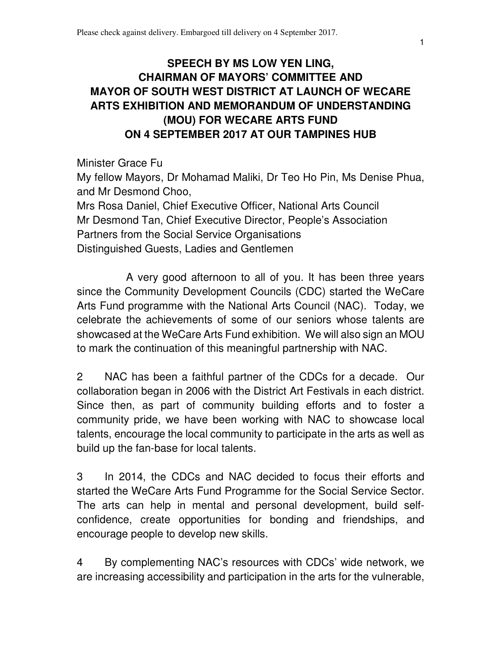## **SPEECH BY MS LOW YEN LING, CHAIRMAN OF MAYORS' COMMITTEE AND MAYOR OF SOUTH WEST DISTRICT AT LAUNCH OF WECARE ARTS EXHIBITION AND MEMORANDUM OF UNDERSTANDING (MOU) FOR WECARE ARTS FUND ON 4 SEPTEMBER 2017 AT OUR TAMPINES HUB**

Minister Grace Fu My fellow Mayors, Dr Mohamad Maliki, Dr Teo Ho Pin, Ms Denise Phua, and Mr Desmond Choo,

Mrs Rosa Daniel, Chief Executive Officer, National Arts Council Mr Desmond Tan, Chief Executive Director, People's Association Partners from the Social Service Organisations Distinguished Guests, Ladies and Gentlemen

A very good afternoon to all of you. It has been three years since the Community Development Councils (CDC) started the WeCare Arts Fund programme with the National Arts Council (NAC). Today, we celebrate the achievements of some of our seniors whose talents are showcased at the WeCare Arts Fund exhibition. We will also sign an MOU to mark the continuation of this meaningful partnership with NAC.

2 NAC has been a faithful partner of the CDCs for a decade. Our collaboration began in 2006 with the District Art Festivals in each district. Since then, as part of community building efforts and to foster a community pride, we have been working with NAC to showcase local talents, encourage the local community to participate in the arts as well as build up the fan-base for local talents.

3 In 2014, the CDCs and NAC decided to focus their efforts and started the WeCare Arts Fund Programme for the Social Service Sector. The arts can help in mental and personal development, build selfconfidence, create opportunities for bonding and friendships, and encourage people to develop new skills.

4 By complementing NAC's resources with CDCs' wide network, we are increasing accessibility and participation in the arts for the vulnerable,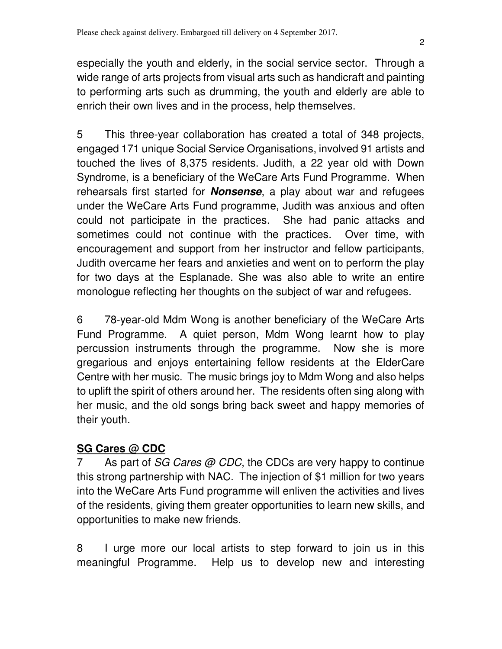especially the youth and elderly, in the social service sector. Through a wide range of arts projects from visual arts such as handicraft and painting to performing arts such as drumming, the youth and elderly are able to enrich their own lives and in the process, help themselves.

5 This three-year collaboration has created a total of 348 projects, engaged 171 unique Social Service Organisations, involved 91 artists and touched the lives of 8,375 residents. Judith, a 22 year old with Down Syndrome, is a beneficiary of the WeCare Arts Fund Programme. When rehearsals first started for **Nonsense**, a play about war and refugees under the WeCare Arts Fund programme, Judith was anxious and often could not participate in the practices. She had panic attacks and sometimes could not continue with the practices. Over time, with encouragement and support from her instructor and fellow participants, Judith overcame her fears and anxieties and went on to perform the play for two days at the Esplanade. She was also able to write an entire monologue reflecting her thoughts on the subject of war and refugees.

6 78-year-old Mdm Wong is another beneficiary of the WeCare Arts Fund Programme. A quiet person, Mdm Wong learnt how to play percussion instruments through the programme. Now she is more gregarious and enjoys entertaining fellow residents at the ElderCare Centre with her music. The music brings joy to Mdm Wong and also helps to uplift the spirit of others around her. The residents often sing along with her music, and the old songs bring back sweet and happy memories of their youth.

## **SG Cares @ CDC**

7 As part of SG Cares @ CDC, the CDCs are very happy to continue this strong partnership with NAC. The injection of \$1 million for two years into the WeCare Arts Fund programme will enliven the activities and lives of the residents, giving them greater opportunities to learn new skills, and opportunities to make new friends.

8 I urge more our local artists to step forward to join us in this meaningful Programme. Help us to develop new and interesting